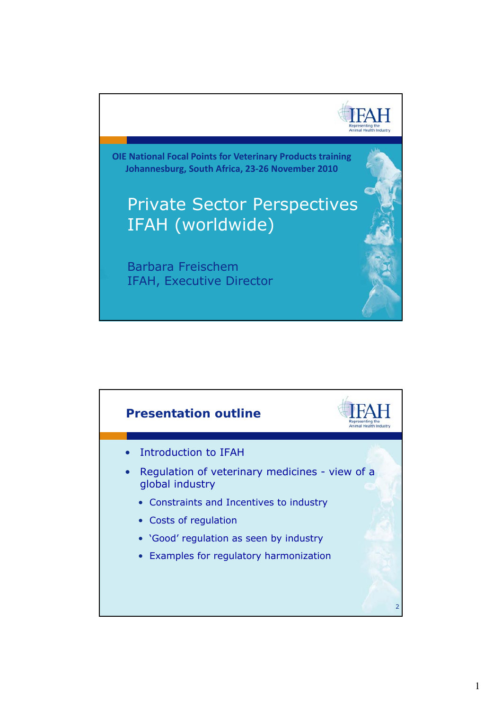

**OIE National Focal Points for Veterinary Products training Johannesburg South Africa 23‐26 November 2010 Johannesburg, Africa,**

## Private Sector Perspectives IFAH (worldwide)

Barbara Freischem IFAH, Executive Director

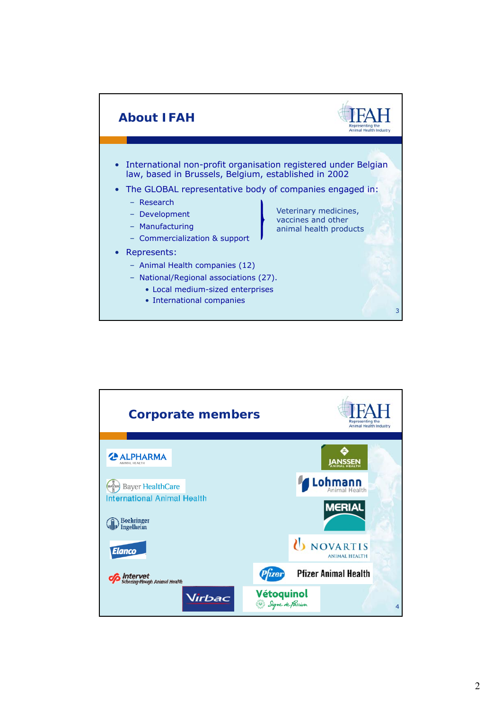

![](_page_1_Figure_1.jpeg)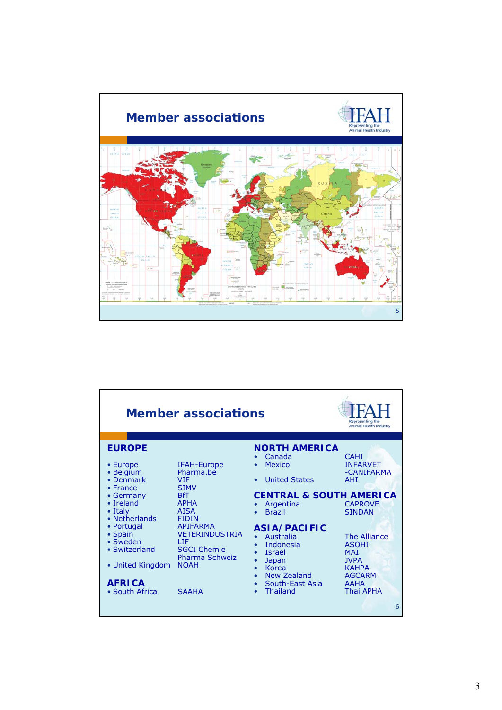![](_page_2_Figure_0.jpeg)

|                                                                                                                                                                                                                                                    | <b>Member associations</b>                                                                                                                                                                                                                   |                                                                                                                                                                                                                                                                                                                                   | Representing the<br>Animal Health Industry                                                                                                                                                                                   |
|----------------------------------------------------------------------------------------------------------------------------------------------------------------------------------------------------------------------------------------------------|----------------------------------------------------------------------------------------------------------------------------------------------------------------------------------------------------------------------------------------------|-----------------------------------------------------------------------------------------------------------------------------------------------------------------------------------------------------------------------------------------------------------------------------------------------------------------------------------|------------------------------------------------------------------------------------------------------------------------------------------------------------------------------------------------------------------------------|
| <b>EUROPE</b><br>• Europe<br>• Belgium<br>• Denmark<br>$\bullet$ France<br>• Germany<br>• Ireland<br>$\bullet$ Italy<br>• Netherlands<br>• Portugal<br>• Spain<br>• Sweden<br>• Switzerland<br>• United Kingdom<br><b>AFRICA</b><br>• South Africa | <b>IFAH-Europe</b><br>Pharma.be<br>VIF.<br><b>SIMV</b><br><b>BfT</b><br><b>APHA</b><br><b>AISA</b><br><b>FIDIN</b><br><b>APIFARMA</b><br><b>VETERINDUSTRIA</b><br>LIF<br><b>SGCI Chemie</b><br>Pharma Schweiz<br><b>NOAH</b><br><b>SAAHA</b> | <b>NORTH AMERICA</b><br>Canada<br><b>Mexico</b><br><b>United States</b><br><b>CENTRAL &amp; SOUTH AMERICA</b><br>Argentina<br><b>Brazil</b><br>ASIA/PACIFIC<br>Australia<br>$\bullet$<br>Indonesia<br><b>Israel</b><br>Japan<br>Korea<br>$\bullet$<br>New Zealand<br>$\bullet$<br>South-East Asia<br><b>Thailand</b><br>$\bullet$ | CAHI<br><b>INFARVET</b><br>-CANIFARMA<br><b>AHI</b><br><b>CAPROVE</b><br><b>SINDAN</b><br><b>The Alliance</b><br><b>ASOHI</b><br><b>MAT</b><br><b>JVPA</b><br><b>KAHPA</b><br><b>AGCARM</b><br><b>AAHA</b><br>Thai APHA<br>6 |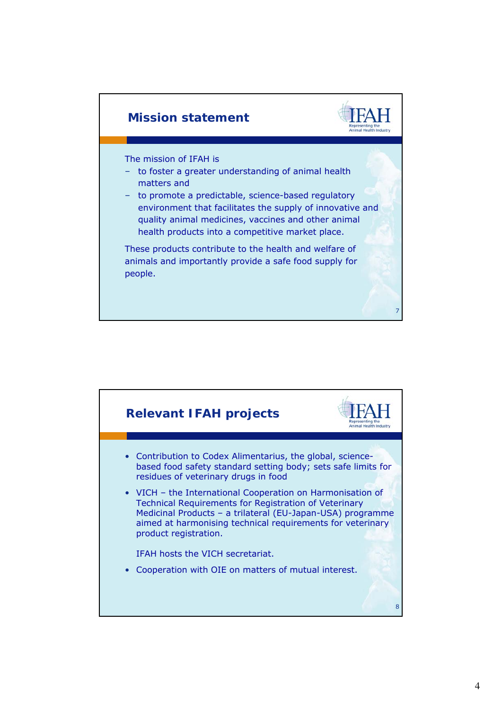![](_page_3_Figure_0.jpeg)

![](_page_3_Figure_1.jpeg)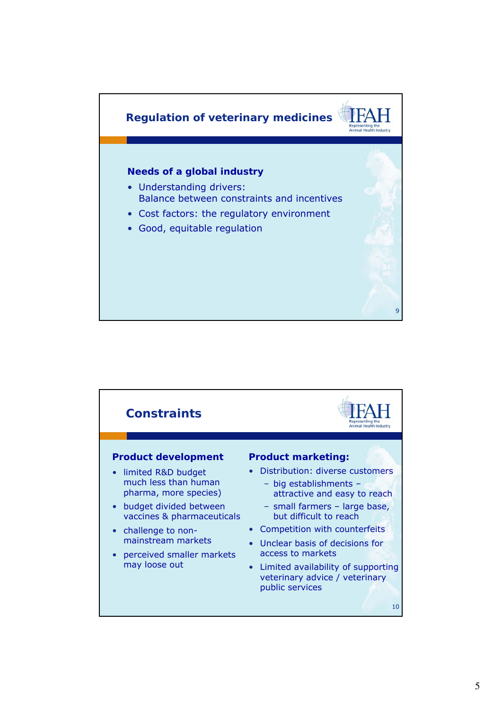![](_page_4_Figure_0.jpeg)

![](_page_4_Figure_1.jpeg)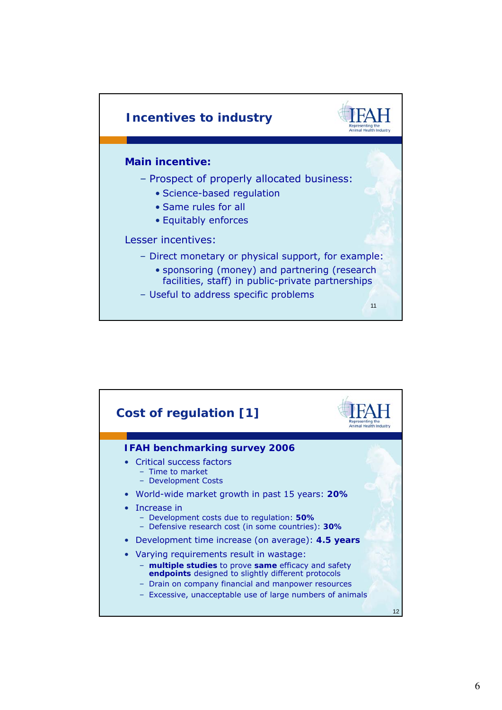![](_page_5_Figure_0.jpeg)

![](_page_5_Figure_1.jpeg)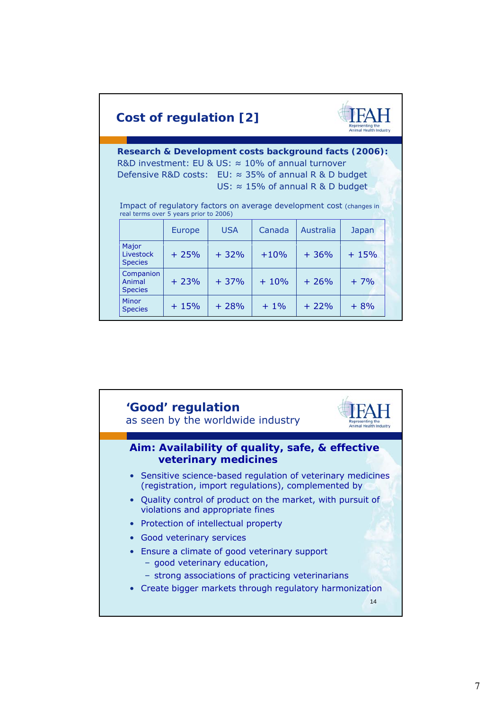| <b>Cost of regulation [2]</b>                                                                                                                                                                                                                                                                                                                     |        |            |        |           | Representing the<br><b>Animal Health Industry</b> |  |  |
|---------------------------------------------------------------------------------------------------------------------------------------------------------------------------------------------------------------------------------------------------------------------------------------------------------------------------------------------------|--------|------------|--------|-----------|---------------------------------------------------|--|--|
| Research & Development costs background facts (2006):<br>R&D investment: EU & US: $\approx$ 10% of annual turnover<br>Defensive R&D costs: EU: $\approx$ 35% of annual R & D budget<br>US: $\approx$ 15% of annual R & D budget<br>Impact of regulatory factors on average development cost (changes in<br>real terms over 5 years prior to 2006) |        |            |        |           |                                                   |  |  |
|                                                                                                                                                                                                                                                                                                                                                   | Europe | <b>USA</b> | Canada | Australia | Japan                                             |  |  |
| Major<br><b>Livestock</b><br><b>Species</b>                                                                                                                                                                                                                                                                                                       | $+25%$ | $+32%$     | $+10%$ | $+36%$    | $+15%$                                            |  |  |
| Companion<br>Animal<br><b>Species</b>                                                                                                                                                                                                                                                                                                             | $+23%$ | $+37%$     | $+10%$ | $+26%$    | $+7%$                                             |  |  |
| Minor<br><b>Species</b>                                                                                                                                                                                                                                                                                                                           | $+15%$ | $+28%$     | $+1\%$ | $+22%$    | $+8%$                                             |  |  |

![](_page_6_Picture_1.jpeg)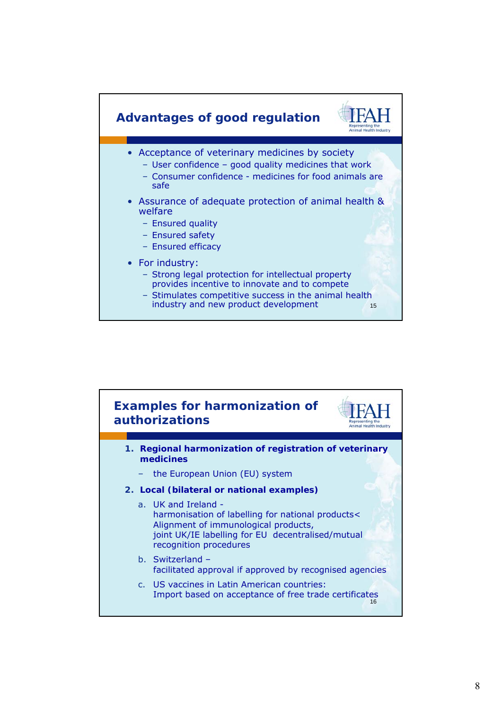![](_page_7_Figure_0.jpeg)

![](_page_7_Figure_1.jpeg)